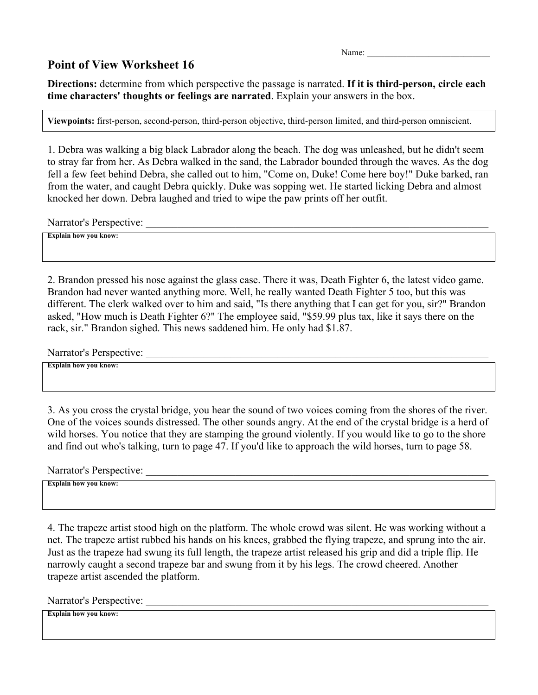Name:

## **Point of View Worksheet 16**

**Directions:** determine from which perspective the passage is narrated. **If it is third-person, circle each time characters' thoughts or feelings are narrated**. Explain your answers in the box.

**Viewpoints:** first-person, second-person, third-person objective, third-person limited, and third-person omniscient.

1. Debra was walking a big black Labrador along the beach. The dog was unleashed, but he didn't seem to stray far from her. As Debra walked in the sand, the Labrador bounded through the waves. As the dog fell a few feet behind Debra, she called out to him, "Come on, Duke! Come here boy!" Duke barked, ran from the water, and caught Debra quickly. Duke was sopping wet. He started licking Debra and almost knocked her down. Debra laughed and tried to wipe the paw prints off her outfit.

Narrator's Perspective:

**Explain how you know:** 

2. Brandon pressed his nose against the glass case. There it was, Death Fighter 6, the latest video game. Brandon had never wanted anything more. Well, he really wanted Death Fighter 5 too, but this was different. The clerk walked over to him and said, "Is there anything that I can get for you, sir?" Brandon asked, "How much is Death Fighter 6?" The employee said, "\$59.99 plus tax, like it says there on the rack, sir." Brandon sighed. This news saddened him. He only had \$1.87.

Narrator's Perspective:

**Explain how you know:** 

3. As you cross the crystal bridge, you hear the sound of two voices coming from the shores of the river. One of the voices sounds distressed. The other sounds angry. At the end of the crystal bridge is a herd of wild horses. You notice that they are stamping the ground violently. If you would like to go to the shore and find out who's talking, turn to page 47. If you'd like to approach the wild horses, turn to page 58.

Narrator's Perspective:

**Explain how you know:** 

4. The trapeze artist stood high on the platform. The whole crowd was silent. He was working without a net. The trapeze artist rubbed his hands on his knees, grabbed the flying trapeze, and sprung into the air. Just as the trapeze had swung its full length, the trapeze artist released his grip and did a triple flip. He narrowly caught a second trapeze bar and swung from it by his legs. The crowd cheered. Another trapeze artist ascended the platform.

Narrator's Perspective: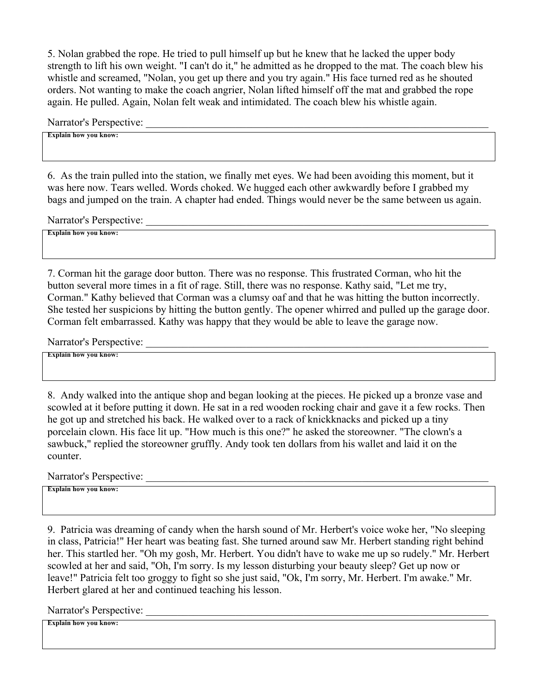5. Nolan grabbed the rope. He tried to pull himself up but he knew that he lacked the upper body strength to lift his own weight. "I can't do it," he admitted as he dropped to the mat. The coach blew his whistle and screamed, "Nolan, you get up there and you try again." His face turned red as he shouted orders. Not wanting to make the coach angrier, Nolan lifted himself off the mat and grabbed the rope again. He pulled. Again, Nolan felt weak and intimidated. The coach blew his whistle again.

Narrator's Perspective:

**Explain how you know:** 

6. As the train pulled into the station, we finally met eyes. We had been avoiding this moment, but it was here now. Tears welled. Words choked. We hugged each other awkwardly before I grabbed my bags and jumped on the train. A chapter had ended. Things would never be the same between us again.

Narrator's Perspective:

**Explain how you know:** 

7. Corman hit the garage door button. There was no response. This frustrated Corman, who hit the button several more times in a fit of rage. Still, there was no response. Kathy said, "Let me try, Corman." Kathy believed that Corman was a clumsy oaf and that he was hitting the button incorrectly. She tested her suspicions by hitting the button gently. The opener whirred and pulled up the garage door. Corman felt embarrassed. Kathy was happy that they would be able to leave the garage now.

Narrator's Perspective:

**Explain how you know:** 

8. Andy walked into the antique shop and began looking at the pieces. He picked up a bronze vase and scowled at it before putting it down. He sat in a red wooden rocking chair and gave it a few rocks. Then he got up and stretched his back. He walked over to a rack of knickknacks and picked up a tiny porcelain clown. His face lit up. "How much is this one?" he asked the storeowner. "The clown's a sawbuck," replied the storeowner gruffly. Andy took ten dollars from his wallet and laid it on the counter.

Narrator's Perspective:

**Explain how you know:** 

9. Patricia was dreaming of candy when the harsh sound of Mr. Herbert's voice woke her, "No sleeping in class, Patricia!" Her heart was beating fast. She turned around saw Mr. Herbert standing right behind her. This startled her. "Oh my gosh, Mr. Herbert. You didn't have to wake me up so rudely." Mr. Herbert scowled at her and said, "Oh, I'm sorry. Is my lesson disturbing your beauty sleep? Get up now or leave!" Patricia felt too groggy to fight so she just said, "Ok, I'm sorry, Mr. Herbert. I'm awake." Mr. Herbert glared at her and continued teaching his lesson.

Narrator's Perspective: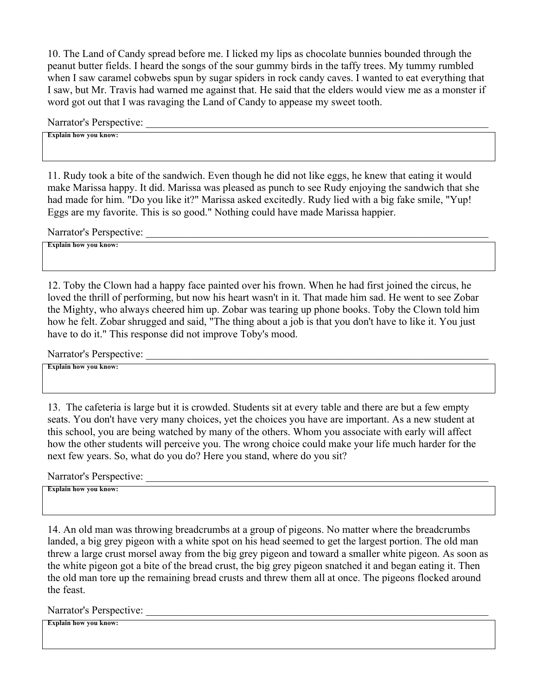10. The Land of Candy spread before me. I licked my lips as chocolate bunnies bounded through the peanut butter fields. I heard the songs of the sour gummy birds in the taffy trees. My tummy rumbled when I saw caramel cobwebs spun by sugar spiders in rock candy caves. I wanted to eat everything that I saw, but Mr. Travis had warned me against that. He said that the elders would view me as a monster if word got out that I was ravaging the Land of Candy to appease my sweet tooth.

Narrator's Perspective:

**Explain how you know:** 

11. Rudy took a bite of the sandwich. Even though he did not like eggs, he knew that eating it would make Marissa happy. It did. Marissa was pleased as punch to see Rudy enjoying the sandwich that she had made for him. "Do you like it?" Marissa asked excitedly. Rudy lied with a big fake smile, "Yup! Eggs are my favorite. This is so good." Nothing could have made Marissa happier.

Narrator's Perspective:

**Explain how you know:** 

12. Toby the Clown had a happy face painted over his frown. When he had first joined the circus, he loved the thrill of performing, but now his heart wasn't in it. That made him sad. He went to see Zobar the Mighty, who always cheered him up. Zobar was tearing up phone books. Toby the Clown told him how he felt. Zobar shrugged and said, "The thing about a job is that you don't have to like it. You just have to do it." This response did not improve Toby's mood.

Narrator's Perspective:

**Explain how you know:** 

13. The cafeteria is large but it is crowded. Students sit at every table and there are but a few empty seats. You don't have very many choices, yet the choices you have are important. As a new student at this school, you are being watched by many of the others. Whom you associate with early will affect how the other students will perceive you. The wrong choice could make your life much harder for the next few years. So, what do you do? Here you stand, where do you sit?

Narrator's Perspective:

**Explain how you know:** 

14. An old man was throwing breadcrumbs at a group of pigeons. No matter where the breadcrumbs landed, a big grey pigeon with a white spot on his head seemed to get the largest portion. The old man threw a large crust morsel away from the big grey pigeon and toward a smaller white pigeon. As soon as the white pigeon got a bite of the bread crust, the big grey pigeon snatched it and began eating it. Then the old man tore up the remaining bread crusts and threw them all at once. The pigeons flocked around the feast.

Narrator's Perspective: